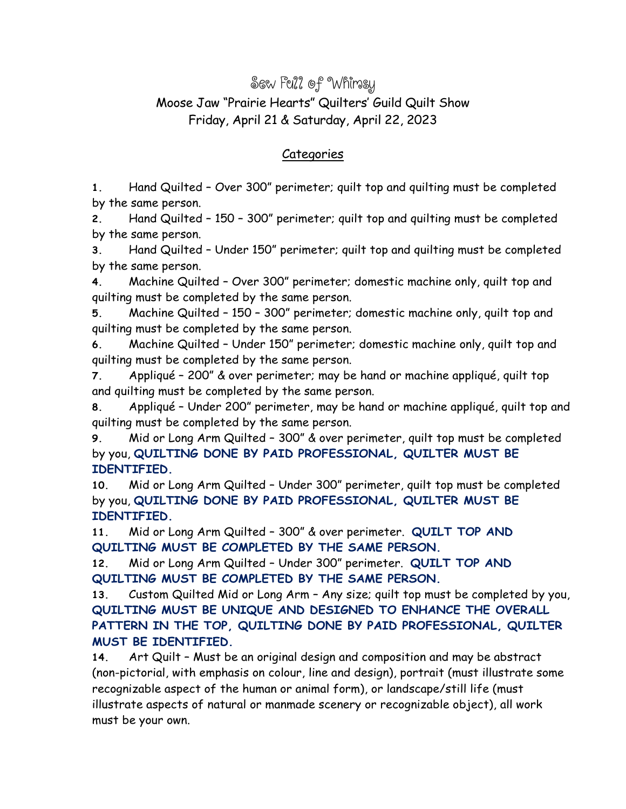## Sew Full of Whimsy Moose Jaw "Prairie Hearts" Quilters' Guild Quilt Show Friday, April 21 & Saturday, April 22, 2023

## Categories

**1.** Hand Quilted – Over 300" perimeter; quilt top and quilting must be completed by the same person.

**2.** Hand Quilted – 150 – 300" perimeter; quilt top and quilting must be completed by the same person.

**3.** Hand Quilted – Under 150" perimeter; quilt top and quilting must be completed by the same person.

**4.** Machine Quilted – Over 300" perimeter; domestic machine only, quilt top and quilting must be completed by the same person.

**5.** Machine Quilted – 150 – 300" perimeter; domestic machine only, quilt top and quilting must be completed by the same person.

**6.** Machine Quilted – Under 150" perimeter; domestic machine only, quilt top and quilting must be completed by the same person.

**7.** Appliqué – 200" & over perimeter; may be hand or machine appliqué, quilt top and quilting must be completed by the same person.

**8.** Appliqué – Under 200" perimeter, may be hand or machine appliqué, quilt top and quilting must be completed by the same person.

**9.** Mid or Long Arm Quilted – 300" & over perimeter, quilt top must be completed by you, **QUILTING DONE BY PAID PROFESSIONAL, QUILTER MUST BE IDENTIFIED.**

**10.** Mid or Long Arm Quilted – Under 300" perimeter, quilt top must be completed by you, **QUILTING DONE BY PAID PROFESSIONAL, QUILTER MUST BE IDENTIFIED.**

**11.** Mid or Long Arm Quilted – 300" & over perimeter. **QUILT TOP AND QUILTING MUST BE COMPLETED BY THE SAME PERSON.**

**12.** Mid or Long Arm Quilted – Under 300" perimeter. **QUILT TOP AND QUILTING MUST BE COMPLETED BY THE SAME PERSON.**

**13.** Custom Quilted Mid or Long Arm – Any size; quilt top must be completed by you, **QUILTING MUST BE UNIQUE AND DESIGNED TO ENHANCE THE OVERALL PATTERN IN THE TOP, QUILTING DONE BY PAID PROFESSIONAL, QUILTER MUST BE IDENTIFIED.**

**14.** Art Quilt – Must be an original design and composition and may be abstract (non-pictorial, with emphasis on colour, line and design), portrait (must illustrate some recognizable aspect of the human or animal form), or landscape/still life (must illustrate aspects of natural or manmade scenery or recognizable object), all work must be your own.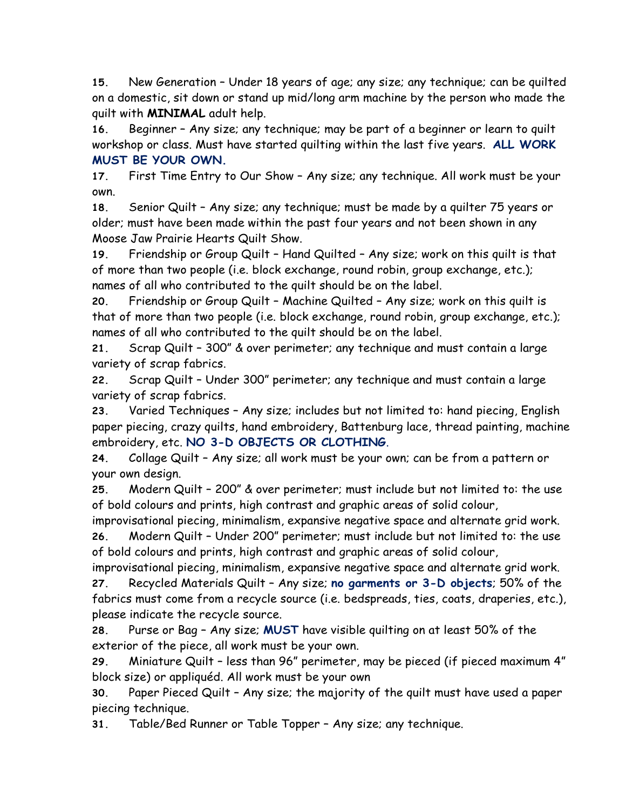**15.** New Generation – Under 18 years of age; any size; any technique; can be quilted on a domestic, sit down or stand up mid/long arm machine by the person who made the quilt with **MINIMAL** adult help.

**16.** Beginner – Any size; any technique; may be part of a beginner or learn to quilt workshop or class. Must have started quilting within the last five years. **ALL WORK MUST BE YOUR OWN.**

**17.** First Time Entry to Our Show – Any size; any technique. All work must be your own.

**18.** Senior Quilt – Any size; any technique; must be made by a quilter 75 years or older; must have been made within the past four years and not been shown in any Moose Jaw Prairie Hearts Quilt Show.

**19.** Friendship or Group Quilt – Hand Quilted – Any size; work on this quilt is that of more than two people (i.e. block exchange, round robin, group exchange, etc.); names of all who contributed to the quilt should be on the label.

**20.** Friendship or Group Quilt – Machine Quilted – Any size; work on this quilt is that of more than two people (i.e. block exchange, round robin, group exchange, etc.); names of all who contributed to the quilt should be on the label.

**21.** Scrap Quilt – 300" & over perimeter; any technique and must contain a large variety of scrap fabrics.

**22.** Scrap Quilt – Under 300" perimeter; any technique and must contain a large variety of scrap fabrics.

**23.** Varied Techniques – Any size; includes but not limited to: hand piecing, English paper piecing, crazy quilts, hand embroidery, Battenburg lace, thread painting, machine embroidery, etc. **NO 3-D OBJECTS OR CLOTHING**.

**24.** Collage Quilt – Any size; all work must be your own; can be from a pattern or your own design.

**25.** Modern Quilt – 200" & over perimeter; must include but not limited to: the use of bold colours and prints, high contrast and graphic areas of solid colour,

improvisational piecing, minimalism, expansive negative space and alternate grid work. **26.** Modern Quilt – Under 200" perimeter; must include but not limited to: the use of bold colours and prints, high contrast and graphic areas of solid colour,

improvisational piecing, minimalism, expansive negative space and alternate grid work. **27.** Recycled Materials Quilt – Any size; **no garments or 3-D objects**; 50% of the fabrics must come from a recycle source (i.e. bedspreads, ties, coats, draperies, etc.),

please indicate the recycle source.

**28.** Purse or Bag – Any size; **MUST** have visible quilting on at least 50% of the exterior of the piece, all work must be your own.

**29.** Miniature Quilt – less than 96" perimeter, may be pieced (if pieced maximum 4" block size) or appliquéd. All work must be your own

**30.** Paper Pieced Quilt – Any size; the majority of the quilt must have used a paper piecing technique.

**31.** Table/Bed Runner or Table Topper – Any size; any technique.